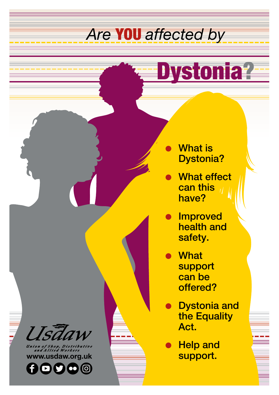# *Are* YOU *affected by*

# Dystonia?

- **What is** Dystonia?
- **What effect** can this have?
- **Improved** health and safety.
- **What** support can be offered?
- **Dystonia and** the Equality Act.
- **Help and** support.

**www.usdaw.org.uk**

 $00000$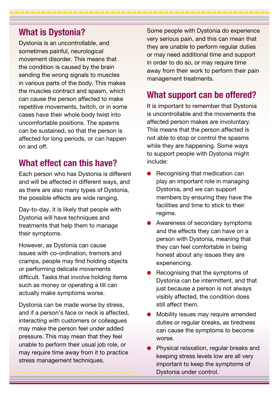#### **What is Dystonia?**

Dystonia is an uncontrollable, and sometimes painful, neurological movement disorder. This means that the condition is caused by the brain sending the wrong signals to muscles in various parts of the body. This makes the muscles contract and spasm, which can cause the person affected to make repetitive movements, twitch, or in some cases have their whole body twist into uncomfortable positions. The spasms can be sustained, so that the person is affected for long periods, or can happen on and off.

# **What effect can this have?**

Each person who has Dystonia is different and will be affected in different ways, and as there are also many types of Dystonia, the possible effects are wide ranging.

Day-to-day, it is likely that people with Dystonia will have techniques and treatments that help them to manage their symptoms.

However, as Dystonia can cause issues with co-ordination, tremors and cramps, people may find holding objects or performing delicate movements difficult. Tasks that involve holding items such as money or operating a till can actually make symptoms worse.

Dystonia can be made worse by stress, and if a person's face or neck is affected, interacting with customers or colleagues may make the person feel under added pressure. This may mean that they feel unable to perform their usual job role, or may require time away from it to practice stress management techniques.

Some people with Dystonia do experience very serious pain, and this can mean that they are unable to perform regular duties or may need additional time and support in order to do so, or may require time away from their work to perform their pain management treatments.

## **What support can be offered?**

It is important to remember that Dystonia is uncontrollable and the movements the affected person makes are involuntary. This means that the person affected is not able to stop or control the spasms while they are happening. Some ways to support people with Dystonia might include:

- Recognising that medication can play an important role in managing Dystonia, and we can support members by ensuring they have the facilities and time to stick to their regime.
- Awareness of secondary symptoms and the effects they can have on a person with Dystonia, meaning that they can feel comfortable in being honest about any issues they are experiencing.
- Recognising that the symptoms of Dystonia can be intermittent, and that just because a person is not always visibly affected, the condition does still affect them.
- l Mobility issues may require amended duties or regular breaks, as tiredness can cause the symptoms to become worse.
- Physical relaxation, regular breaks and keeping stress levels low are all very important to keep the symptoms of Dystonia under control.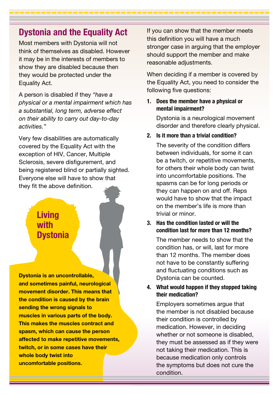#### **Dystonia and the Equality Act**

Most members with Dystonia will not think of themselves as disabled. However it may be in the interests of members to show they are disabled because then they would be protected under the Equality Act.

A person is disabled if they *"have a physical or a mental impairment which has a substantial, long term, adverse effect on their ability to carry out day-to-day activities."*

Very few disabilities are automatically covered by the Equality Act with the exception of HIV, Cancer, Multiple Sclerosis, severe disfigurement, and being registered blind or partially sighted. Everyone else will have to show that they fit the above definition.

## **Living with Dystonia**

**Dystonia is an uncontrollable, and sometimes painful, neurological movement disorder. This means that the condition is caused by the brain sending the wrong signals to muscles in various parts of the body. This makes the muscles contract and spasm, which can cause the person affected to make repetitive movements, twitch, or in some cases have their whole body twist into uncomfortable positions.** 

If you can show that the member meets this definition you will have a much stronger case in arguing that the employer should support the member and make reasonable adjustments.

When deciding if a member is covered by the Equality Act, you need to consider the following five questions:

#### **1. Does the member have a physical or mental impairment?**

Dystonia is a neurological movement disorder and therefore clearly physical.

**2. Is it more than a trivial condition?**

The severity of the condition differs between individuals, for some it can be a twitch, or repetitive movements, for others their whole body can twist into uncomfortable positions. The spasms can be for long periods or they can happen on and off. Reps would have to show that the impact on the member's life is more than trivial or minor.

**3. Has the condition lasted or will the condition last for more than 12 months?**

The member needs to show that the condition has, or will, last for more than 12 months. The member does not have to be constantly suffering and fluctuating conditions such as Dystonia can be counted.

#### **4. What would happen if they stopped taking their medication?**

Employers sometimes argue that the member is not disabled because their condition is controlled by medication. However, in deciding whether or not someone is disabled, they must be assessed as if they were not taking their medication. This is because medication only controls the symptoms but does not cure the condition.